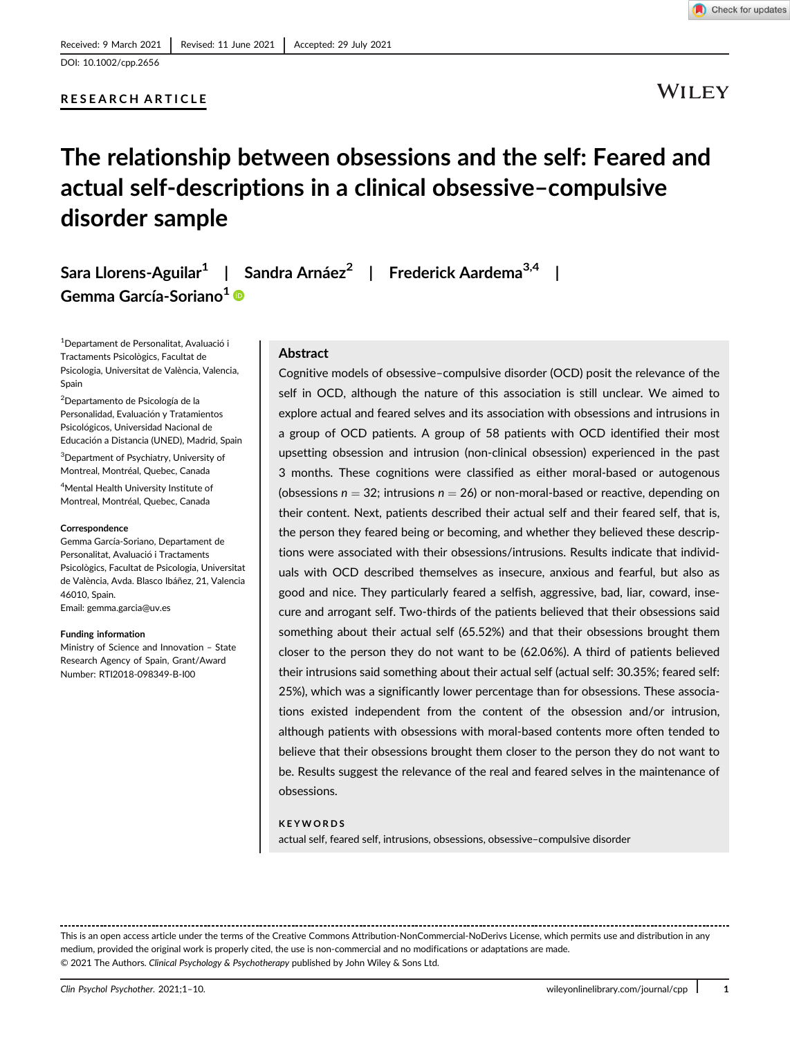# RESEARCH ARTICLE



WILEY

# The relationship between obsessions and the self: Feared and actual self-descriptions in a clinical obsessive–compulsive disorder sample

Sara Llorens-Aguilar<sup>1</sup> | Sandra Arnáez<sup>2</sup> | Frederick Aardema<sup>3,4</sup> Gemma García-Soriano<sup>1</sup> ®

<sup>1</sup>Departament de Personalitat, Avaluació i Tractaments Psicològics, Facultat de Psicologia, Universitat de València, Valencia, Spain

2 Departamento de Psicología de la Personalidad, Evaluación y Tratamientos Psicológicos, Universidad Nacional de Educación a Distancia (UNED), Madrid, Spain

<sup>3</sup>Department of Psychiatry, University of Montreal, Montréal, Quebec, Canada

4 Mental Health University Institute of Montreal, Montréal, Quebec, Canada

#### **Correspondence**

Gemma García-Soriano, Departament de Personalitat, Avaluació i Tractaments Psicològics, Facultat de Psicologia, Universitat de València, Avda. Blasco Ibáñez, 21, Valencia 46010, Spain.

Email: [gemma.garcia@uv.es](mailto:gemma.garcia@uv.es)

#### Funding information

Ministry of Science and Innovation – State Research Agency of Spain, Grant/Award Number: RTI2018-098349-B-I00

#### Abstract

Cognitive models of obsessive–compulsive disorder (OCD) posit the relevance of the self in OCD, although the nature of this association is still unclear. We aimed to explore actual and feared selves and its association with obsessions and intrusions in a group of OCD patients. A group of 58 patients with OCD identified their most upsetting obsession and intrusion (non-clinical obsession) experienced in the past 3 months. These cognitions were classified as either moral-based or autogenous (obsessions  $n = 32$ ; intrusions  $n = 26$ ) or non-moral-based or reactive, depending on their content. Next, patients described their actual self and their feared self, that is, the person they feared being or becoming, and whether they believed these descriptions were associated with their obsessions/intrusions. Results indicate that individuals with OCD described themselves as insecure, anxious and fearful, but also as good and nice. They particularly feared a selfish, aggressive, bad, liar, coward, insecure and arrogant self. Two-thirds of the patients believed that their obsessions said something about their actual self (65.52%) and that their obsessions brought them closer to the person they do not want to be (62.06%). A third of patients believed their intrusions said something about their actual self (actual self: 30.35%; feared self: 25%), which was a significantly lower percentage than for obsessions. These associations existed independent from the content of the obsession and/or intrusion, although patients with obsessions with moral-based contents more often tended to believe that their obsessions brought them closer to the person they do not want to be. Results suggest the relevance of the real and feared selves in the maintenance of obsessions.

#### **KEYWORDS**

actual self, feared self, intrusions, obsessions, obsessive–compulsive disorder

This is an open access article under the terms of the [Creative Commons Attribution-NonCommercial-NoDerivs](http://creativecommons.org/licenses/by-nc-nd/4.0/) License, which permits use and distribution in any medium, provided the original work is properly cited, the use is non-commercial and no modifications or adaptations are made. © 2021 The Authors. Clinical Psychology & Psychotherapy published by John Wiley & Sons Ltd.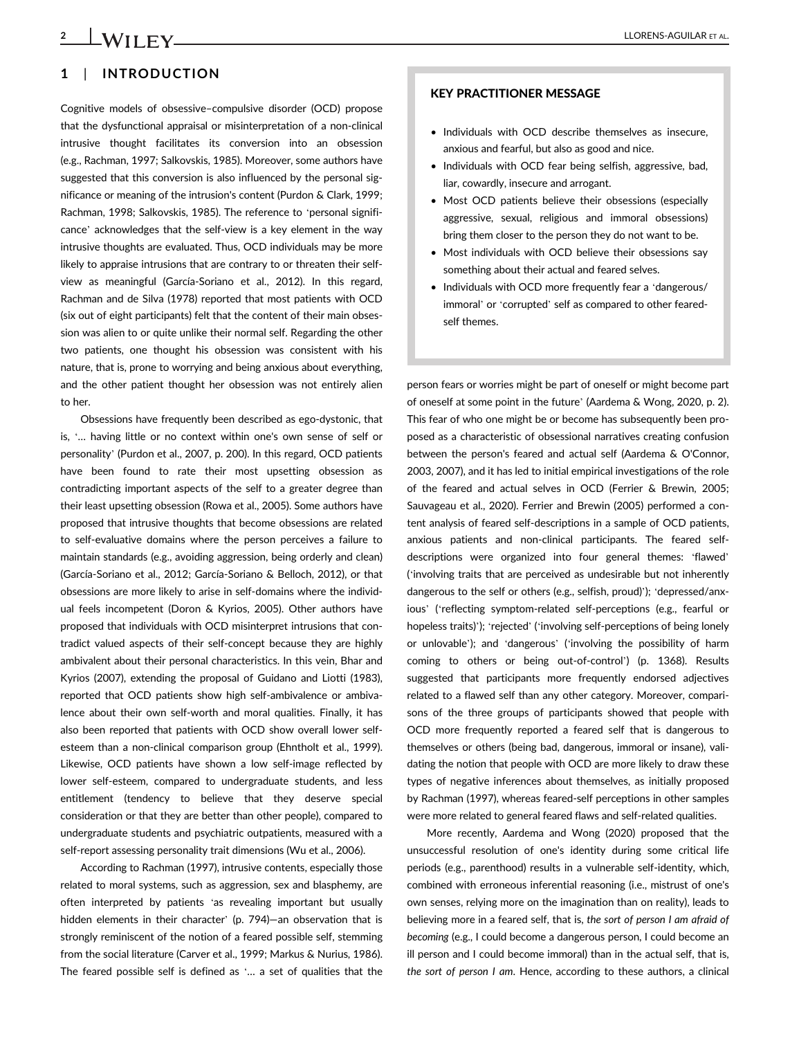# 1 | INTRODUCTION

Cognitive models of obsessive–compulsive disorder (OCD) propose that the dysfunctional appraisal or misinterpretation of a non-clinical intrusive thought facilitates its conversion into an obsession (e.g., Rachman, 1997; Salkovskis, 1985). Moreover, some authors have suggested that this conversion is also influenced by the personal significance or meaning of the intrusion's content (Purdon & Clark, 1999; Rachman, 1998; Salkovskis, 1985). The reference to 'personal significance' acknowledges that the self-view is a key element in the way intrusive thoughts are evaluated. Thus, OCD individuals may be more likely to appraise intrusions that are contrary to or threaten their selfview as meaningful (García-Soriano et al., 2012). In this regard, Rachman and de Silva (1978) reported that most patients with OCD (six out of eight participants) felt that the content of their main obsession was alien to or quite unlike their normal self. Regarding the other two patients, one thought his obsession was consistent with his nature, that is, prone to worrying and being anxious about everything, and the other patient thought her obsession was not entirely alien to her.

Obsessions have frequently been described as ego-dystonic, that is, '… having little or no context within one's own sense of self or personality' (Purdon et al., 2007, p. 200). In this regard, OCD patients have been found to rate their most upsetting obsession as contradicting important aspects of the self to a greater degree than their least upsetting obsession (Rowa et al., 2005). Some authors have proposed that intrusive thoughts that become obsessions are related to self-evaluative domains where the person perceives a failure to maintain standards (e.g., avoiding aggression, being orderly and clean) (García-Soriano et al., 2012; García-Soriano & Belloch, 2012), or that obsessions are more likely to arise in self-domains where the individual feels incompetent (Doron & Kyrios, 2005). Other authors have proposed that individuals with OCD misinterpret intrusions that contradict valued aspects of their self-concept because they are highly ambivalent about their personal characteristics. In this vein, Bhar and Kyrios (2007), extending the proposal of Guidano and Liotti (1983), reported that OCD patients show high self-ambivalence or ambivalence about their own self-worth and moral qualities. Finally, it has also been reported that patients with OCD show overall lower selfesteem than a non-clinical comparison group (Ehntholt et al., 1999). Likewise, OCD patients have shown a low self-image reflected by lower self-esteem, compared to undergraduate students, and less entitlement (tendency to believe that they deserve special consideration or that they are better than other people), compared to undergraduate students and psychiatric outpatients, measured with a self-report assessing personality trait dimensions (Wu et al., 2006).

According to Rachman (1997), intrusive contents, especially those related to moral systems, such as aggression, sex and blasphemy, are often interpreted by patients 'as revealing important but usually hidden elements in their character' (p. 794)—an observation that is strongly reminiscent of the notion of a feared possible self, stemming from the social literature (Carver et al., 1999; Markus & Nurius, 1986). The feared possible self is defined as '… a set of qualities that the

# KEY PRACTITIONER MESSAGE

- Individuals with OCD describe themselves as insecure, anxious and fearful, but also as good and nice.
- Individuals with OCD fear being selfish, aggressive, bad, liar, cowardly, insecure and arrogant.
- Most OCD patients believe their obsessions (especially aggressive, sexual, religious and immoral obsessions) bring them closer to the person they do not want to be.
- Most individuals with OCD believe their obsessions say something about their actual and feared selves.
- Individuals with OCD more frequently fear a 'dangerous/ immoral' or 'corrupted' self as compared to other fearedself themes.

person fears or worries might be part of oneself or might become part of oneself at some point in the future' (Aardema & Wong, 2020, p. 2). This fear of who one might be or become has subsequently been proposed as a characteristic of obsessional narratives creating confusion between the person's feared and actual self (Aardema & O'Connor, 2003, 2007), and it has led to initial empirical investigations of the role of the feared and actual selves in OCD (Ferrier & Brewin, 2005; Sauvageau et al., 2020). Ferrier and Brewin (2005) performed a content analysis of feared self-descriptions in a sample of OCD patients, anxious patients and non-clinical participants. The feared selfdescriptions were organized into four general themes: 'flawed' ('involving traits that are perceived as undesirable but not inherently dangerous to the self or others (e.g., selfish, proud)'); 'depressed/anxious' ('reflecting symptom-related self-perceptions (e.g., fearful or hopeless traits)'); 'rejected' ('involving self-perceptions of being lonely or unlovable'); and 'dangerous' ('involving the possibility of harm coming to others or being out-of-control') (p. 1368). Results suggested that participants more frequently endorsed adjectives related to a flawed self than any other category. Moreover, comparisons of the three groups of participants showed that people with OCD more frequently reported a feared self that is dangerous to themselves or others (being bad, dangerous, immoral or insane), validating the notion that people with OCD are more likely to draw these types of negative inferences about themselves, as initially proposed by Rachman (1997), whereas feared-self perceptions in other samples were more related to general feared flaws and self-related qualities.

More recently, Aardema and Wong (2020) proposed that the unsuccessful resolution of one's identity during some critical life periods (e.g., parenthood) results in a vulnerable self-identity, which, combined with erroneous inferential reasoning (i.e., mistrust of one's own senses, relying more on the imagination than on reality), leads to believing more in a feared self, that is, the sort of person I am afraid of becoming (e.g., I could become a dangerous person, I could become an ill person and I could become immoral) than in the actual self, that is, the sort of person I am. Hence, according to these authors, a clinical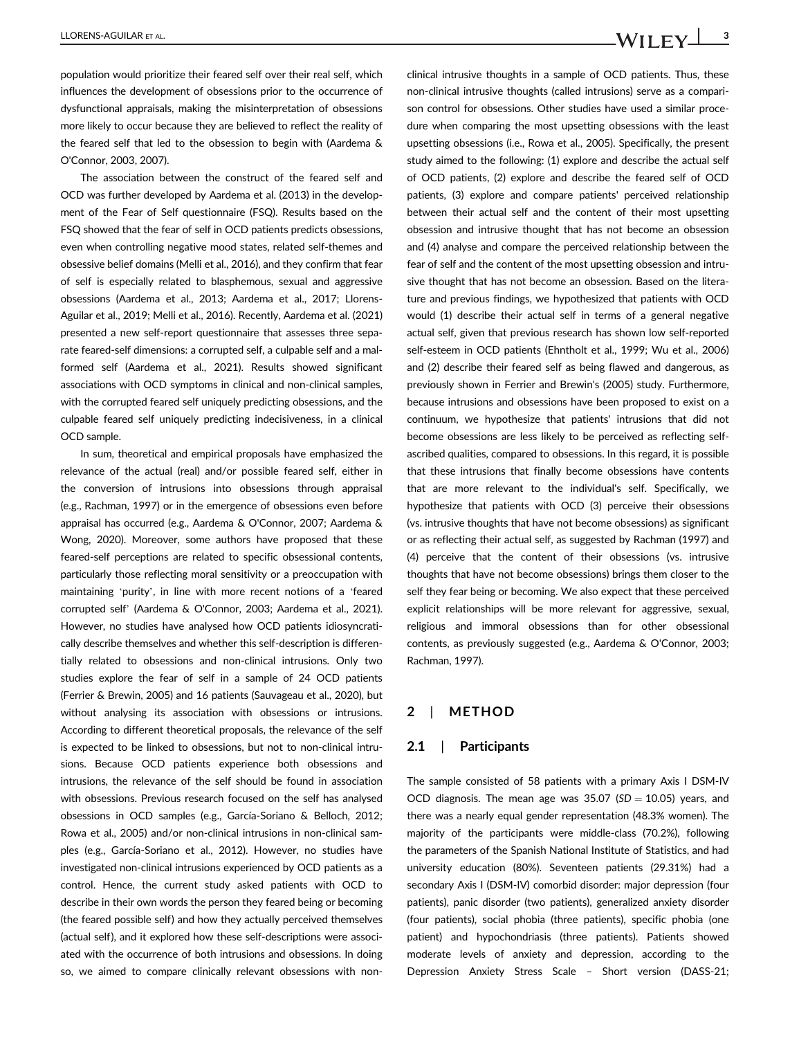population would prioritize their feared self over their real self, which influences the development of obsessions prior to the occurrence of dysfunctional appraisals, making the misinterpretation of obsessions more likely to occur because they are believed to reflect the reality of the feared self that led to the obsession to begin with (Aardema & O'Connor, 2003, 2007).

The association between the construct of the feared self and OCD was further developed by Aardema et al. (2013) in the development of the Fear of Self questionnaire (FSQ). Results based on the FSQ showed that the fear of self in OCD patients predicts obsessions, even when controlling negative mood states, related self-themes and obsessive belief domains (Melli et al., 2016), and they confirm that fear of self is especially related to blasphemous, sexual and aggressive obsessions (Aardema et al., 2013; Aardema et al., 2017; Llorens-Aguilar et al., 2019; Melli et al., 2016). Recently, Aardema et al. (2021) presented a new self-report questionnaire that assesses three separate feared-self dimensions: a corrupted self, a culpable self and a malformed self (Aardema et al., 2021). Results showed significant associations with OCD symptoms in clinical and non-clinical samples, with the corrupted feared self uniquely predicting obsessions, and the culpable feared self uniquely predicting indecisiveness, in a clinical OCD sample.

In sum, theoretical and empirical proposals have emphasized the relevance of the actual (real) and/or possible feared self, either in the conversion of intrusions into obsessions through appraisal (e.g., Rachman, 1997) or in the emergence of obsessions even before appraisal has occurred (e.g., Aardema & O'Connor, 2007; Aardema & Wong, 2020). Moreover, some authors have proposed that these feared-self perceptions are related to specific obsessional contents, particularly those reflecting moral sensitivity or a preoccupation with maintaining 'purity', in line with more recent notions of a 'feared corrupted self' (Aardema & O'Connor, 2003; Aardema et al., 2021). However, no studies have analysed how OCD patients idiosyncratically describe themselves and whether this self-description is differentially related to obsessions and non-clinical intrusions. Only two studies explore the fear of self in a sample of 24 OCD patients (Ferrier & Brewin, 2005) and 16 patients (Sauvageau et al., 2020), but without analysing its association with obsessions or intrusions. According to different theoretical proposals, the relevance of the self is expected to be linked to obsessions, but not to non-clinical intrusions. Because OCD patients experience both obsessions and intrusions, the relevance of the self should be found in association with obsessions. Previous research focused on the self has analysed obsessions in OCD samples (e.g., García-Soriano & Belloch, 2012; Rowa et al., 2005) and/or non-clinical intrusions in non-clinical samples (e.g., García-Soriano et al., 2012). However, no studies have investigated non-clinical intrusions experienced by OCD patients as a control. Hence, the current study asked patients with OCD to describe in their own words the person they feared being or becoming (the feared possible self) and how they actually perceived themselves (actual self), and it explored how these self-descriptions were associated with the occurrence of both intrusions and obsessions. In doing so, we aimed to compare clinically relevant obsessions with non-

clinical intrusive thoughts in a sample of OCD patients. Thus, these non-clinical intrusive thoughts (called intrusions) serve as a comparison control for obsessions. Other studies have used a similar procedure when comparing the most upsetting obsessions with the least upsetting obsessions (i.e., Rowa et al., 2005). Specifically, the present study aimed to the following: (1) explore and describe the actual self of OCD patients, (2) explore and describe the feared self of OCD patients, (3) explore and compare patients' perceived relationship between their actual self and the content of their most upsetting obsession and intrusive thought that has not become an obsession and (4) analyse and compare the perceived relationship between the fear of self and the content of the most upsetting obsession and intrusive thought that has not become an obsession. Based on the literature and previous findings, we hypothesized that patients with OCD would (1) describe their actual self in terms of a general negative actual self, given that previous research has shown low self-reported self-esteem in OCD patients (Ehntholt et al., 1999; Wu et al., 2006) and (2) describe their feared self as being flawed and dangerous, as previously shown in Ferrier and Brewin's (2005) study. Furthermore, because intrusions and obsessions have been proposed to exist on a continuum, we hypothesize that patients' intrusions that did not become obsessions are less likely to be perceived as reflecting selfascribed qualities, compared to obsessions. In this regard, it is possible that these intrusions that finally become obsessions have contents that are more relevant to the individual's self. Specifically, we hypothesize that patients with OCD (3) perceive their obsessions (vs. intrusive thoughts that have not become obsessions) as significant or as reflecting their actual self, as suggested by Rachman (1997) and (4) perceive that the content of their obsessions (vs. intrusive thoughts that have not become obsessions) brings them closer to the self they fear being or becoming. We also expect that these perceived explicit relationships will be more relevant for aggressive, sexual, religious and immoral obsessions than for other obsessional contents, as previously suggested (e.g., Aardema & O'Connor, 2003; Rachman, 1997).

# 2 | METHOD

#### 2.1 | Participants

The sample consisted of 58 patients with a primary Axis I DSM-IV OCD diagnosis. The mean age was  $35.07$  (SD = 10.05) years, and there was a nearly equal gender representation (48.3% women). The majority of the participants were middle-class (70.2%), following the parameters of the Spanish National Institute of Statistics, and had university education (80%). Seventeen patients (29.31%) had a secondary Axis I (DSM-IV) comorbid disorder: major depression (four patients), panic disorder (two patients), generalized anxiety disorder (four patients), social phobia (three patients), specific phobia (one patient) and hypochondriasis (three patients). Patients showed moderate levels of anxiety and depression, according to the Depression Anxiety Stress Scale – Short version (DASS-21;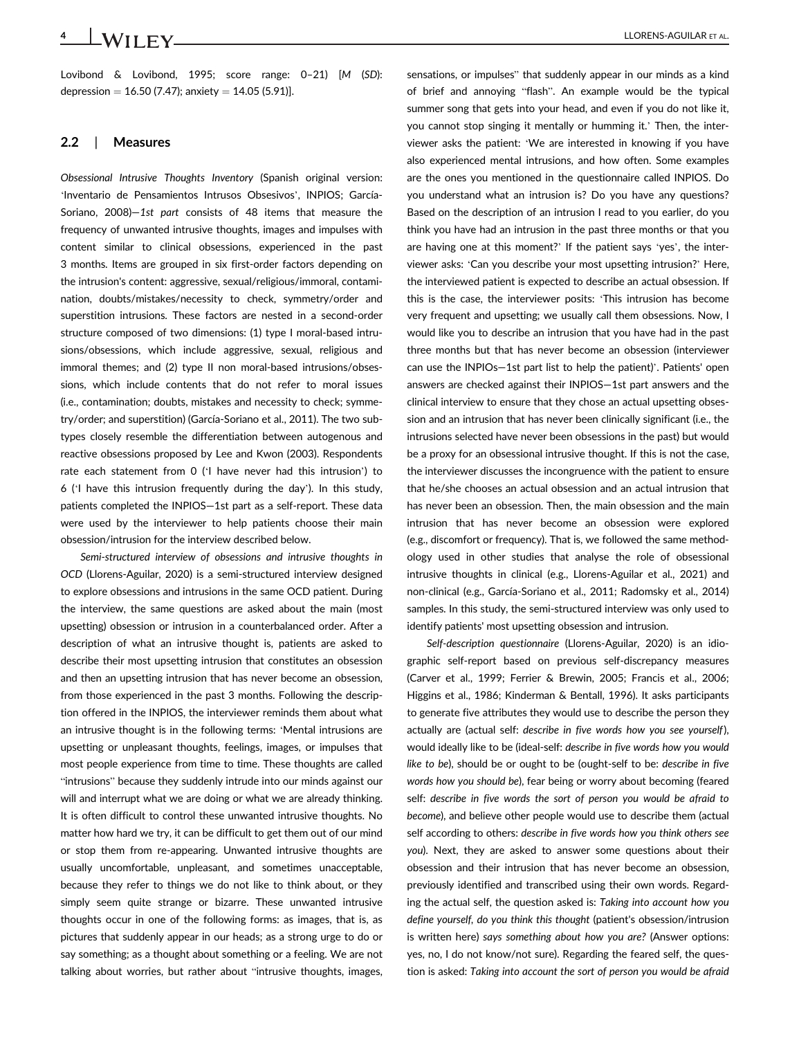Lovibond & Lovibond, 1995; score range: 0–21) [M (SD): depression =  $16.50$  (7.47); anxiety =  $14.05$  (5.91)].

#### 2.2 | Measures

Obsessional Intrusive Thoughts Inventory (Spanish original version: 'Inventario de Pensamientos Intrusos Obsesivos', INPIOS; García-Soriano, 2008)—1st part consists of 48 items that measure the frequency of unwanted intrusive thoughts, images and impulses with content similar to clinical obsessions, experienced in the past 3 months. Items are grouped in six first-order factors depending on the intrusion's content: aggressive, sexual/religious/immoral, contamination, doubts/mistakes/necessity to check, symmetry/order and superstition intrusions. These factors are nested in a second-order structure composed of two dimensions: (1) type I moral-based intrusions/obsessions, which include aggressive, sexual, religious and immoral themes; and (2) type II non moral-based intrusions/obsessions, which include contents that do not refer to moral issues (i.e., contamination; doubts, mistakes and necessity to check; symmetry/order; and superstition) (García-Soriano et al., 2011). The two subtypes closely resemble the differentiation between autogenous and reactive obsessions proposed by Lee and Kwon (2003). Respondents rate each statement from 0 ('I have never had this intrusion') to 6 ('I have this intrusion frequently during the day'). In this study, patients completed the INPIOS—1st part as a self-report. These data were used by the interviewer to help patients choose their main obsession/intrusion for the interview described below.

Semi-structured interview of obsessions and intrusive thoughts in OCD (Llorens-Aguilar, 2020) is a semi-structured interview designed to explore obsessions and intrusions in the same OCD patient. During the interview, the same questions are asked about the main (most upsetting) obsession or intrusion in a counterbalanced order. After a description of what an intrusive thought is, patients are asked to describe their most upsetting intrusion that constitutes an obsession and then an upsetting intrusion that has never become an obsession, from those experienced in the past 3 months. Following the description offered in the INPIOS, the interviewer reminds them about what an intrusive thought is in the following terms: 'Mental intrusions are upsetting or unpleasant thoughts, feelings, images, or impulses that most people experience from time to time. These thoughts are called "intrusions" because they suddenly intrude into our minds against our will and interrupt what we are doing or what we are already thinking. It is often difficult to control these unwanted intrusive thoughts. No matter how hard we try, it can be difficult to get them out of our mind or stop them from re-appearing. Unwanted intrusive thoughts are usually uncomfortable, unpleasant, and sometimes unacceptable, because they refer to things we do not like to think about, or they simply seem quite strange or bizarre. These unwanted intrusive thoughts occur in one of the following forms: as images, that is, as pictures that suddenly appear in our heads; as a strong urge to do or say something; as a thought about something or a feeling. We are not talking about worries, but rather about "intrusive thoughts, images,

sensations, or impulses" that suddenly appear in our minds as a kind of brief and annoying "flash". An example would be the typical summer song that gets into your head, and even if you do not like it, you cannot stop singing it mentally or humming it.' Then, the interviewer asks the patient: 'We are interested in knowing if you have also experienced mental intrusions, and how often. Some examples are the ones you mentioned in the questionnaire called INPIOS. Do you understand what an intrusion is? Do you have any questions? Based on the description of an intrusion I read to you earlier, do you think you have had an intrusion in the past three months or that you are having one at this moment?' If the patient says 'yes', the interviewer asks: 'Can you describe your most upsetting intrusion?' Here, the interviewed patient is expected to describe an actual obsession. If this is the case, the interviewer posits: 'This intrusion has become very frequent and upsetting; we usually call them obsessions. Now, I would like you to describe an intrusion that you have had in the past three months but that has never become an obsession (interviewer can use the INPIOs—1st part list to help the patient)'. Patients' open answers are checked against their INPIOS—1st part answers and the clinical interview to ensure that they chose an actual upsetting obsession and an intrusion that has never been clinically significant (i.e., the intrusions selected have never been obsessions in the past) but would be a proxy for an obsessional intrusive thought. If this is not the case, the interviewer discusses the incongruence with the patient to ensure that he/she chooses an actual obsession and an actual intrusion that has never been an obsession. Then, the main obsession and the main intrusion that has never become an obsession were explored (e.g., discomfort or frequency). That is, we followed the same methodology used in other studies that analyse the role of obsessional intrusive thoughts in clinical (e.g., Llorens-Aguilar et al., 2021) and non-clinical (e.g., García-Soriano et al., 2011; Radomsky et al., 2014) samples. In this study, the semi-structured interview was only used to identify patients' most upsetting obsession and intrusion.

Self-description questionnaire (Llorens-Aguilar, 2020) is an idiographic self-report based on previous self-discrepancy measures (Carver et al., 1999; Ferrier & Brewin, 2005; Francis et al., 2006; Higgins et al., 1986; Kinderman & Bentall, 1996). It asks participants to generate five attributes they would use to describe the person they actually are (actual self: describe in five words how you see yourself), would ideally like to be (ideal-self: describe in five words how you would like to be), should be or ought to be (ought-self to be: describe in five words how you should be), fear being or worry about becoming (feared self: describe in five words the sort of person you would be afraid to become), and believe other people would use to describe them (actual self according to others: describe in five words how you think others see you). Next, they are asked to answer some questions about their obsession and their intrusion that has never become an obsession, previously identified and transcribed using their own words. Regarding the actual self, the question asked is: Taking into account how you define yourself, do you think this thought (patient's obsession/intrusion is written here) says something about how you are? (Answer options: yes, no, I do not know/not sure). Regarding the feared self, the question is asked: Taking into account the sort of person you would be afraid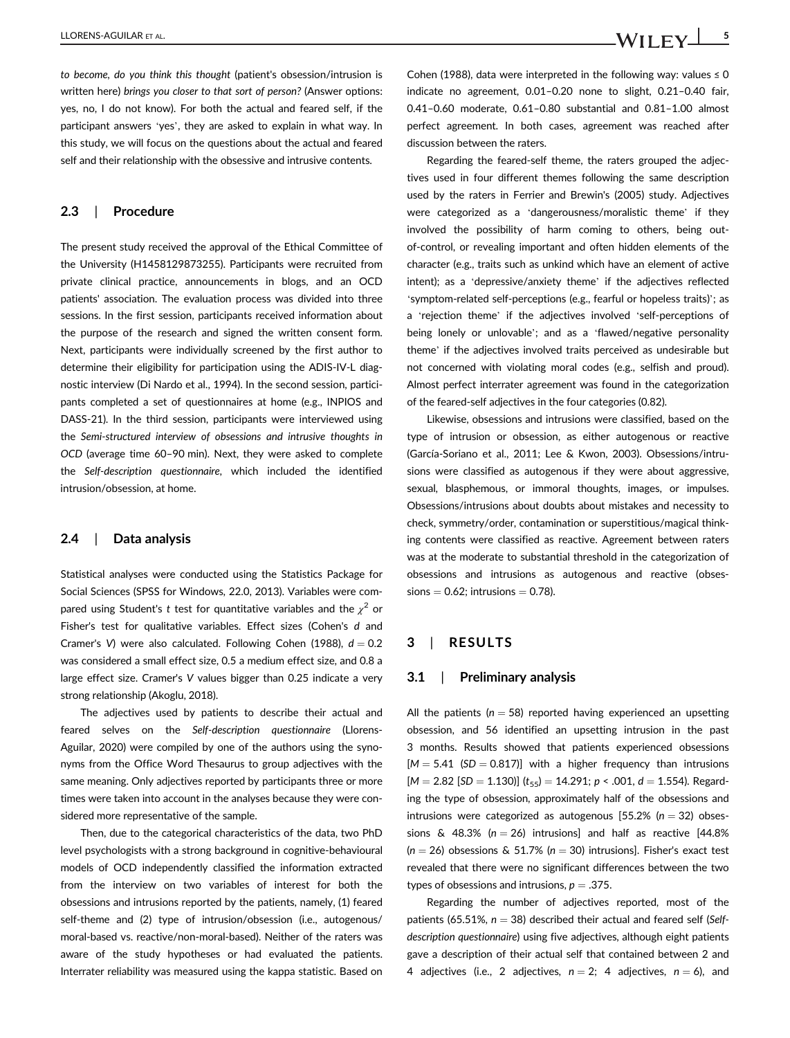to become, do you think this thought (patient's obsession/intrusion is written here) brings you closer to that sort of person? (Answer options: yes, no, I do not know). For both the actual and feared self, if the participant answers 'yes', they are asked to explain in what way. In this study, we will focus on the questions about the actual and feared self and their relationship with the obsessive and intrusive contents.

#### 2.3 | Procedure

The present study received the approval of the Ethical Committee of the University (H1458129873255). Participants were recruited from private clinical practice, announcements in blogs, and an OCD patients' association. The evaluation process was divided into three sessions. In the first session, participants received information about the purpose of the research and signed the written consent form. Next, participants were individually screened by the first author to determine their eligibility for participation using the ADIS-IV-L diagnostic interview (Di Nardo et al., 1994). In the second session, participants completed a set of questionnaires at home (e.g., INPIOS and DASS-21). In the third session, participants were interviewed using the Semi-structured interview of obsessions and intrusive thoughts in OCD (average time 60–90 min). Next, they were asked to complete the Self-description questionnaire, which included the identified intrusion/obsession, at home.

## 2.4 | Data analysis

Statistical analyses were conducted using the Statistics Package for Social Sciences (SPSS for Windows, 22.0, 2013). Variables were compared using Student's t test for quantitative variables and the  $\chi^2$  or Fisher's test for qualitative variables. Effect sizes (Cohen's d and Cramer's V) were also calculated. Following Cohen (1988),  $d = 0.2$ was considered a small effect size, 0.5 a medium effect size, and 0.8 a large effect size. Cramer's V values bigger than 0.25 indicate a very strong relationship (Akoglu, 2018).

The adjectives used by patients to describe their actual and feared selves on the Self-description questionnaire (Llorens-Aguilar, 2020) were compiled by one of the authors using the synonyms from the Office Word Thesaurus to group adjectives with the same meaning. Only adjectives reported by participants three or more times were taken into account in the analyses because they were considered more representative of the sample.

Then, due to the categorical characteristics of the data, two PhD level psychologists with a strong background in cognitive-behavioural models of OCD independently classified the information extracted from the interview on two variables of interest for both the obsessions and intrusions reported by the patients, namely, (1) feared self-theme and (2) type of intrusion/obsession (i.e., autogenous/ moral-based vs. reactive/non-moral-based). Neither of the raters was aware of the study hypotheses or had evaluated the patients. Interrater reliability was measured using the kappa statistic. Based on

Cohen (1988), data were interpreted in the following way: values  $\leq 0$ indicate no agreement, 0.01–0.20 none to slight, 0.21–0.40 fair, 0.41–0.60 moderate, 0.61–0.80 substantial and 0.81–1.00 almost perfect agreement. In both cases, agreement was reached after discussion between the raters.

Regarding the feared-self theme, the raters grouped the adjectives used in four different themes following the same description used by the raters in Ferrier and Brewin's (2005) study. Adjectives were categorized as a 'dangerousness/moralistic theme' if they involved the possibility of harm coming to others, being outof-control, or revealing important and often hidden elements of the character (e.g., traits such as unkind which have an element of active intent); as a 'depressive/anxiety theme' if the adjectives reflected 'symptom-related self-perceptions (e.g., fearful or hopeless traits)'; as a 'rejection theme' if the adjectives involved 'self-perceptions of being lonely or unlovable'; and as a 'flawed/negative personality theme' if the adjectives involved traits perceived as undesirable but not concerned with violating moral codes (e.g., selfish and proud). Almost perfect interrater agreement was found in the categorization of the feared-self adjectives in the four categories (0.82).

Likewise, obsessions and intrusions were classified, based on the type of intrusion or obsession, as either autogenous or reactive (García-Soriano et al., 2011; Lee & Kwon, 2003). Obsessions/intrusions were classified as autogenous if they were about aggressive, sexual, blasphemous, or immoral thoughts, images, or impulses. Obsessions/intrusions about doubts about mistakes and necessity to check, symmetry/order, contamination or superstitious/magical thinking contents were classified as reactive. Agreement between raters was at the moderate to substantial threshold in the categorization of obsessions and intrusions as autogenous and reactive (obses $sions = 0.62$ ; intrusions  $= 0.78$ ).

#### 3 | RESULTS

# 3.1 | Preliminary analysis

All the patients ( $n = 58$ ) reported having experienced an upsetting obsession, and 56 identified an upsetting intrusion in the past 3 months. Results showed that patients experienced obsessions  $[M = 5.41 \text{ (SD} = 0.817)]$  with a higher frequency than intrusions  $[M = 2.82$  [SD = 1.130)]  $(t_{55}) = 14.291$ ;  $p < .001$ ,  $d = 1.554$ ). Regarding the type of obsession, approximately half of the obsessions and intrusions were categorized as autogenous [55.2% ( $n = 32$ ) obsessions & 48.3% ( $n = 26$ ) intrusions] and half as reactive [44.8%  $(n = 26)$  obsessions & 51.7%  $(n = 30)$  intrusions]. Fisher's exact test revealed that there were no significant differences between the two types of obsessions and intrusions,  $p = .375$ .

Regarding the number of adjectives reported, most of the patients (65.51%,  $n = 38$ ) described their actual and feared self (Selfdescription questionnaire) using five adjectives, although eight patients gave a description of their actual self that contained between 2 and 4 adjectives (i.e., 2 adjectives,  $n = 2$ ; 4 adjectives,  $n = 6$ ), and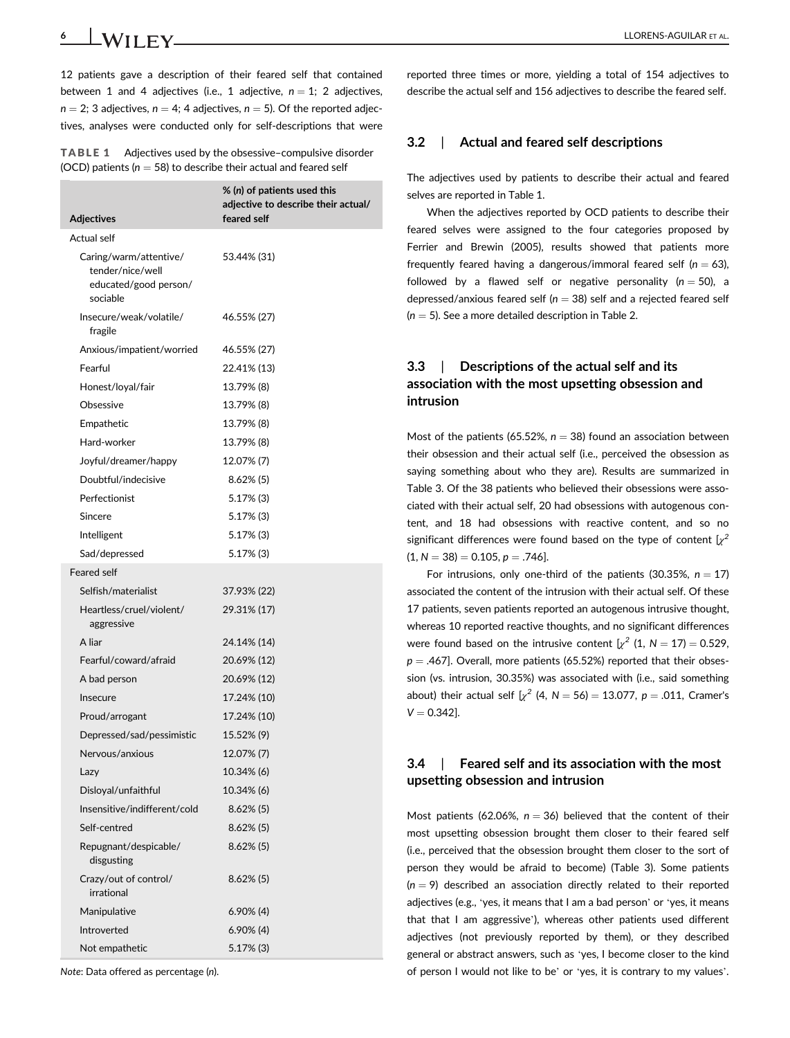6 | **IA/II EV** LLORENS-AGUILAR ET AL.

12 patients gave a description of their feared self that contained between 1 and 4 adjectives (i.e., 1 adjective,  $n = 1$ ; 2 adjectives,  $n = 2$ : 3 adjectives,  $n = 4$ : 4 adjectives,  $n = 5$ ). Of the reported adjectives, analyses were conducted only for self-descriptions that were

| <b>TABLE 1</b> | Adjectives used by the obsessive-compulsive disorder                 |
|----------------|----------------------------------------------------------------------|
|                | (OCD) patients ( $n = 58$ ) to describe their actual and feared self |

| <b>Adjectives</b>                                                               | % (n) of patients used this<br>adjective to describe their actual/<br>feared self |  |  |  |
|---------------------------------------------------------------------------------|-----------------------------------------------------------------------------------|--|--|--|
| Actual self                                                                     |                                                                                   |  |  |  |
| Caring/warm/attentive/<br>tender/nice/well<br>educated/good person/<br>sociable | 53.44% (31)                                                                       |  |  |  |
| Insecure/weak/volatile/<br>fragile                                              | 46.55% (27)                                                                       |  |  |  |
| Anxious/impatient/worried                                                       | 46.55% (27)                                                                       |  |  |  |
| Fearful                                                                         | 22.41% (13)                                                                       |  |  |  |
| Honest/loyal/fair                                                               | 13.79% (8)                                                                        |  |  |  |
| Obsessive                                                                       | 13.79% (8)                                                                        |  |  |  |
| Empathetic                                                                      | 13.79% (8)                                                                        |  |  |  |
| Hard-worker                                                                     | 13.79% (8)                                                                        |  |  |  |
| Joyful/dreamer/happy                                                            | 12.07% (7)                                                                        |  |  |  |
| Doubtful/indecisive                                                             | $8.62\%$ (5)                                                                      |  |  |  |
| Perfectionist                                                                   | $5.17\%$ (3)                                                                      |  |  |  |
| Sincere                                                                         | $5.17\%$ (3)                                                                      |  |  |  |
| Intelligent                                                                     | $5.17\%$ (3)                                                                      |  |  |  |
| Sad/depressed                                                                   | 5.17% (3)                                                                         |  |  |  |
| <b>Feared self</b>                                                              |                                                                                   |  |  |  |
| Selfish/materialist                                                             | 37.93% (22)                                                                       |  |  |  |
| Heartless/cruel/violent/<br>aggressive                                          | 29.31% (17)                                                                       |  |  |  |
| A liar                                                                          | 24.14% (14)                                                                       |  |  |  |
| Fearful/coward/afraid                                                           | 20.69% (12)                                                                       |  |  |  |
| A bad person                                                                    | 20.69% (12)                                                                       |  |  |  |
| <b>Insecure</b>                                                                 | 17.24% (10)                                                                       |  |  |  |
| Proud/arrogant                                                                  | 17.24% (10)                                                                       |  |  |  |
| Depressed/sad/pessimistic                                                       | 15.52% (9)                                                                        |  |  |  |
| Nervous/anxious                                                                 | 12.07% (7)                                                                        |  |  |  |
| Lazy                                                                            | 10.34% (6)                                                                        |  |  |  |
| Disloyal/unfaithful                                                             | 10.34% (6)                                                                        |  |  |  |
| Insensitive/indifferent/cold                                                    | 8.62% (5)                                                                         |  |  |  |
| Self-centred                                                                    | $8.62\%$ (5)                                                                      |  |  |  |
| Repugnant/despicable/<br>disgusting                                             | $8.62\%$ (5)                                                                      |  |  |  |
| Crazy/out of control/<br>irrational                                             | $8.62\%$ (5)                                                                      |  |  |  |
| Manipulative                                                                    | $6.90\%$ (4)                                                                      |  |  |  |
| Introverted                                                                     | $6.90\%$ (4)                                                                      |  |  |  |
| Not empathetic                                                                  | $5.17%$ (3)                                                                       |  |  |  |

Note: Data offered as percentage (n).

reported three times or more, yielding a total of 154 adjectives to describe the actual self and 156 adjectives to describe the feared self.

# 3.2 | Actual and feared self descriptions

The adjectives used by patients to describe their actual and feared selves are reported in Table 1.

When the adjectives reported by OCD patients to describe their feared selves were assigned to the four categories proposed by Ferrier and Brewin (2005), results showed that patients more frequently feared having a dangerous/immoral feared self  $(n = 63)$ . followed by a flawed self or negative personality ( $n = 50$ ), a depressed/anxious feared self ( $n = 38$ ) self and a rejected feared self  $(n = 5)$ . See a more detailed description in Table 2.

# 3.3 | Descriptions of the actual self and its association with the most upsetting obsession and intrusion

Most of the patients (65.52%,  $n = 38$ ) found an association between their obsession and their actual self (i.e., perceived the obsession as saying something about who they are). Results are summarized in Table 3. Of the 38 patients who believed their obsessions were associated with their actual self, 20 had obsessions with autogenous content, and 18 had obsessions with reactive content, and so no significant differences were found based on the type of content  $\sqrt{x^2}$  $(1, N = 38) = 0.105, p = .746$ .

For intrusions, only one-third of the patients (30.35%,  $n = 17$ ) associated the content of the intrusion with their actual self. Of these 17 patients, seven patients reported an autogenous intrusive thought, whereas 10 reported reactive thoughts, and no significant differences were found based on the intrusive content  $\left[\chi^2(1, N = 17) = 0.529\right]$  $p = .467$ ]. Overall, more patients (65.52%) reported that their obsession (vs. intrusion, 30.35%) was associated with (i.e., said something about) their actual self  $[\chi^2 (4, N = 56) = 13.077, p = .011,$  Cramer's  $V = 0.342$ ].

# 3.4 | Feared self and its association with the most upsetting obsession and intrusion

Most patients (62.06%,  $n = 36$ ) believed that the content of their most upsetting obsession brought them closer to their feared self (i.e., perceived that the obsession brought them closer to the sort of person they would be afraid to become) (Table 3). Some patients  $(n = 9)$  described an association directly related to their reported adjectives (e.g., 'yes, it means that I am a bad person' or 'yes, it means that that I am aggressive'), whereas other patients used different adjectives (not previously reported by them), or they described general or abstract answers, such as 'yes, I become closer to the kind of person I would not like to be' or 'yes, it is contrary to my values'.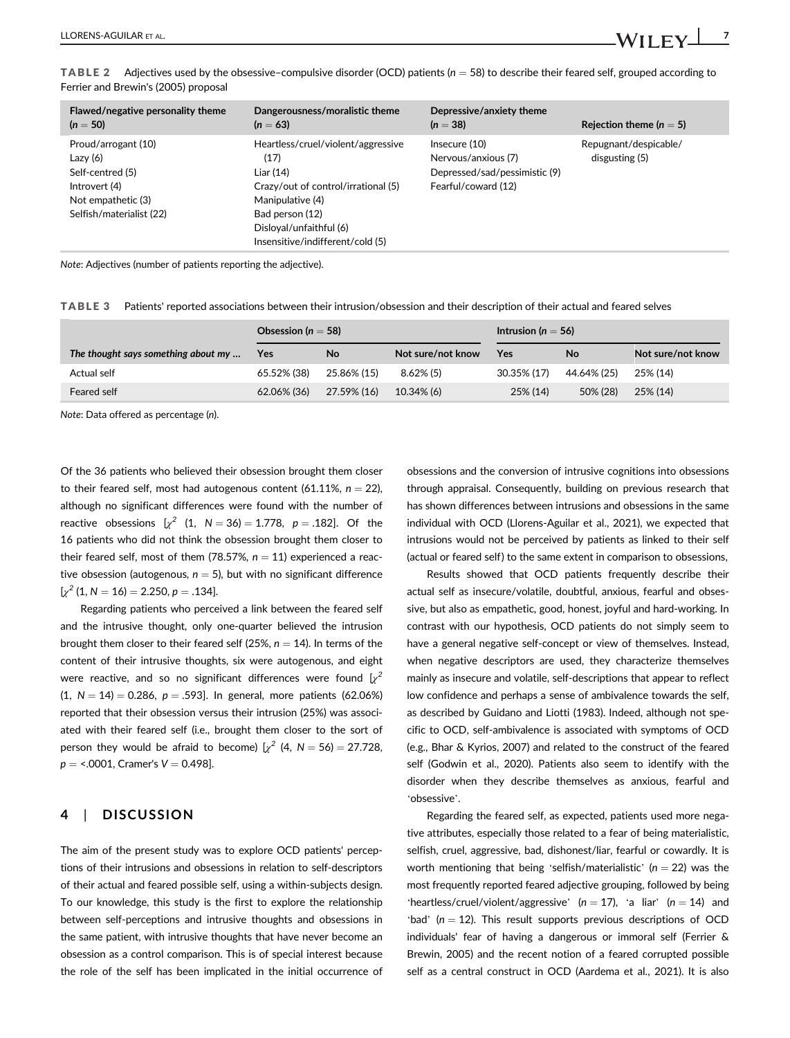| Flawed/negative personality theme                                                                                        | Dangerousness/moralistic theme                                                                                                                                                                       | Depressive/anxiety theme                                                                    | Rejection theme ( $n = 5$ )             |
|--------------------------------------------------------------------------------------------------------------------------|------------------------------------------------------------------------------------------------------------------------------------------------------------------------------------------------------|---------------------------------------------------------------------------------------------|-----------------------------------------|
| $(n = 50)$                                                                                                               | $(n = 63)$                                                                                                                                                                                           | $(n = 38)$                                                                                  |                                         |
| Proud/arrogant (10)<br>Lazy $(6)$<br>Self-centred (5)<br>Introvert (4)<br>Not empathetic (3)<br>Selfish/materialist (22) | Heartless/cruel/violent/aggressive<br>(17)<br>Liar (14)<br>Crazy/out of control/irrational (5)<br>Manipulative (4)<br>Bad person (12)<br>Disloyal/unfaithful (6)<br>Insensitive/indifferent/cold (5) | Insecure (10)<br>Nervous/anxious (7)<br>Depressed/sad/pessimistic(9)<br>Fearful/coward (12) | Repugnant/despicable/<br>disgusting (5) |

**TABLE 2** Adjectives used by the obsessive-compulsive disorder (OCD) patients ( $n = 58$ ) to describe their feared self, grouped according to Ferrier and Brewin's (2005) proposal

Note: Adjectives (number of patients reporting the adjective).

TABLE 3 Patients' reported associations between their intrusion/obsession and their description of their actual and feared selves

|                                     | Obsession ( $n = 58$ ) |             |                   | Intrusion ( $n = 56$ ) |             |                   |
|-------------------------------------|------------------------|-------------|-------------------|------------------------|-------------|-------------------|
| The thought says something about my | <b>Yes</b>             | No          | Not sure/not know | Yes                    | No          | Not sure/not know |
| Actual self                         | 65.52% (38)            | 25.86% (15) | $8.62\%$ (5)      | 30.35% (17)            | 44.64% (25) | 25% (14)          |
| Feared self                         | 62.06% (36)            | 27.59% (16) | 10.34% (6)        | 25% (14)               | 50% (28)    | 25% (14)          |

Note: Data offered as percentage (n).

Of the 36 patients who believed their obsession brought them closer to their feared self, most had autogenous content  $(61.11\%, n = 22)$ , although no significant differences were found with the number of reactive obsessions  $[x^2 (1, N = 36) = 1.778, p = .182]$ . Of the 16 patients who did not think the obsession brought them closer to their feared self, most of them (78.57%,  $n = 11$ ) experienced a reactive obsession (autogenous,  $n = 5$ ), but with no significant difference  $[x^2 (1, N = 16) = 2.250, p = .134].$ 

Regarding patients who perceived a link between the feared self and the intrusive thought, only one-quarter believed the intrusion brought them closer to their feared self (25%,  $n = 14$ ). In terms of the content of their intrusive thoughts, six were autogenous, and eight were reactive, and so no significant differences were found  $[x^2]$  $(1, N = 14) = 0.286$ ,  $p = .593$ ]. In general, more patients (62.06%) reported that their obsession versus their intrusion (25%) was associated with their feared self (i.e., brought them closer to the sort of person they would be afraid to become)  $[\gamma^2 (4, N = 56) = 27.728$ ,  $p =$  <.0001, Cramer's  $V = 0.498$ ].

# 4 | DISCUSSION

The aim of the present study was to explore OCD patients' perceptions of their intrusions and obsessions in relation to self-descriptors of their actual and feared possible self, using a within-subjects design. To our knowledge, this study is the first to explore the relationship between self-perceptions and intrusive thoughts and obsessions in the same patient, with intrusive thoughts that have never become an obsession as a control comparison. This is of special interest because the role of the self has been implicated in the initial occurrence of obsessions and the conversion of intrusive cognitions into obsessions through appraisal. Consequently, building on previous research that has shown differences between intrusions and obsessions in the same individual with OCD (Llorens-Aguilar et al., 2021), we expected that intrusions would not be perceived by patients as linked to their self (actual or feared self) to the same extent in comparison to obsessions,

Results showed that OCD patients frequently describe their actual self as insecure/volatile, doubtful, anxious, fearful and obsessive, but also as empathetic, good, honest, joyful and hard-working. In contrast with our hypothesis, OCD patients do not simply seem to have a general negative self-concept or view of themselves. Instead, when negative descriptors are used, they characterize themselves mainly as insecure and volatile, self-descriptions that appear to reflect low confidence and perhaps a sense of ambivalence towards the self, as described by Guidano and Liotti (1983). Indeed, although not specific to OCD, self-ambivalence is associated with symptoms of OCD (e.g., Bhar & Kyrios, 2007) and related to the construct of the feared self (Godwin et al., 2020). Patients also seem to identify with the disorder when they describe themselves as anxious, fearful and 'obsessive'.

Regarding the feared self, as expected, patients used more negative attributes, especially those related to a fear of being materialistic, selfish, cruel, aggressive, bad, dishonest/liar, fearful or cowardly. It is worth mentioning that being 'selfish/materialistic' ( $n = 22$ ) was the most frequently reported feared adjective grouping, followed by being 'heartless/cruel/violent/aggressive' ( $n = 17$ ), 'a liar' ( $n = 14$ ) and 'bad' ( $n = 12$ ). This result supports previous descriptions of OCD individuals' fear of having a dangerous or immoral self (Ferrier & Brewin, 2005) and the recent notion of a feared corrupted possible self as a central construct in OCD (Aardema et al., 2021). It is also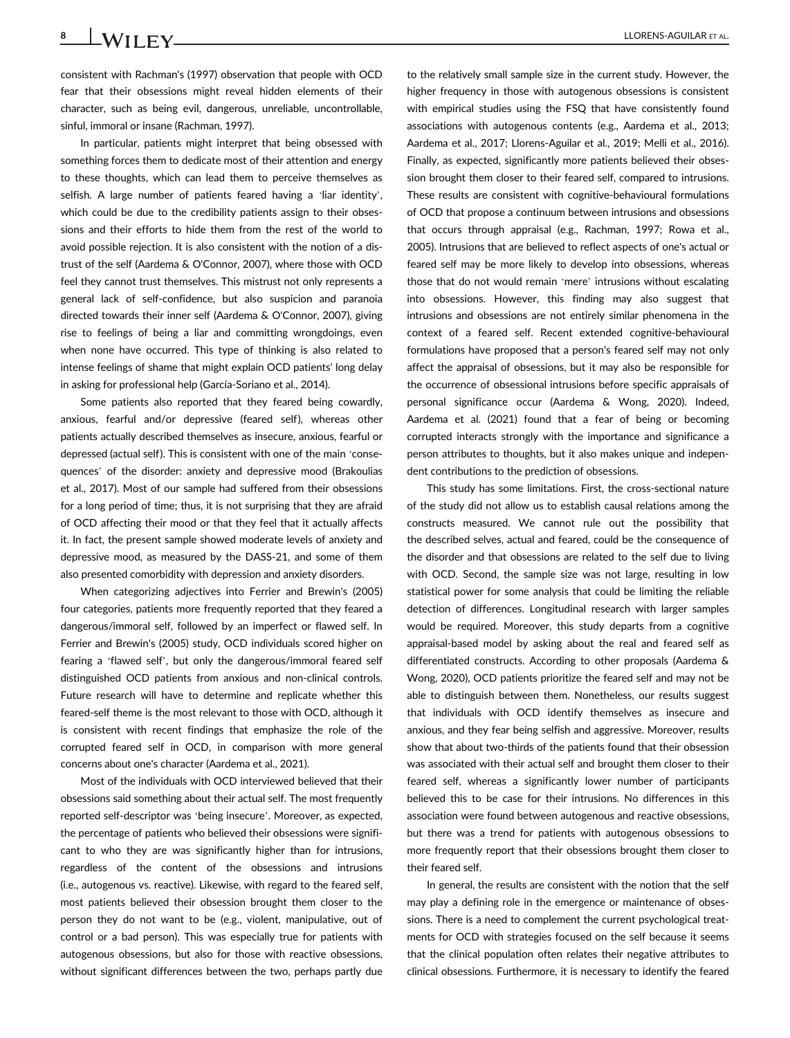consistent with Rachman's (1997) observation that people with OCD fear that their obsessions might reveal hidden elements of their character, such as being evil, dangerous, unreliable, uncontrollable, sinful, immoral or insane (Rachman, 1997).

In particular, patients might interpret that being obsessed with something forces them to dedicate most of their attention and energy to these thoughts, which can lead them to perceive themselves as selfish. A large number of patients feared having a 'liar identity', which could be due to the credibility patients assign to their obsessions and their efforts to hide them from the rest of the world to avoid possible rejection. It is also consistent with the notion of a distrust of the self (Aardema & O'Connor, 2007), where those with OCD feel they cannot trust themselves. This mistrust not only represents a general lack of self-confidence, but also suspicion and paranoia directed towards their inner self (Aardema & O'Connor, 2007), giving rise to feelings of being a liar and committing wrongdoings, even when none have occurred. This type of thinking is also related to intense feelings of shame that might explain OCD patients' long delay in asking for professional help (García-Soriano et al., 2014).

Some patients also reported that they feared being cowardly, anxious, fearful and/or depressive (feared self), whereas other patients actually described themselves as insecure, anxious, fearful or depressed (actual self). This is consistent with one of the main 'consequences' of the disorder: anxiety and depressive mood (Brakoulias et al., 2017). Most of our sample had suffered from their obsessions for a long period of time; thus, it is not surprising that they are afraid of OCD affecting their mood or that they feel that it actually affects it. In fact, the present sample showed moderate levels of anxiety and depressive mood, as measured by the DASS-21, and some of them also presented comorbidity with depression and anxiety disorders.

When categorizing adjectives into Ferrier and Brewin's (2005) four categories, patients more frequently reported that they feared a dangerous/immoral self, followed by an imperfect or flawed self. In Ferrier and Brewin's (2005) study, OCD individuals scored higher on fearing a 'flawed self', but only the dangerous/immoral feared self distinguished OCD patients from anxious and non-clinical controls. Future research will have to determine and replicate whether this feared-self theme is the most relevant to those with OCD, although it is consistent with recent findings that emphasize the role of the corrupted feared self in OCD, in comparison with more general concerns about one's character (Aardema et al., 2021).

Most of the individuals with OCD interviewed believed that their obsessions said something about their actual self. The most frequently reported self-descriptor was 'being insecure'. Moreover, as expected, the percentage of patients who believed their obsessions were significant to who they are was significantly higher than for intrusions, regardless of the content of the obsessions and intrusions (i.e., autogenous vs. reactive). Likewise, with regard to the feared self, most patients believed their obsession brought them closer to the person they do not want to be (e.g., violent, manipulative, out of control or a bad person). This was especially true for patients with autogenous obsessions, but also for those with reactive obsessions, without significant differences between the two, perhaps partly due

to the relatively small sample size in the current study. However, the higher frequency in those with autogenous obsessions is consistent with empirical studies using the FSQ that have consistently found associations with autogenous contents (e.g., Aardema et al., 2013; Aardema et al., 2017; Llorens-Aguilar et al., 2019; Melli et al., 2016). Finally, as expected, significantly more patients believed their obsession brought them closer to their feared self, compared to intrusions. These results are consistent with cognitive-behavioural formulations of OCD that propose a continuum between intrusions and obsessions that occurs through appraisal (e.g., Rachman, 1997; Rowa et al., 2005). Intrusions that are believed to reflect aspects of one's actual or feared self may be more likely to develop into obsessions, whereas those that do not would remain 'mere' intrusions without escalating into obsessions. However, this finding may also suggest that intrusions and obsessions are not entirely similar phenomena in the context of a feared self. Recent extended cognitive-behavioural formulations have proposed that a person's feared self may not only affect the appraisal of obsessions, but it may also be responsible for the occurrence of obsessional intrusions before specific appraisals of personal significance occur (Aardema & Wong, 2020). Indeed, Aardema et al. (2021) found that a fear of being or becoming corrupted interacts strongly with the importance and significance a person attributes to thoughts, but it also makes unique and independent contributions to the prediction of obsessions.

This study has some limitations. First, the cross-sectional nature of the study did not allow us to establish causal relations among the constructs measured. We cannot rule out the possibility that the described selves, actual and feared, could be the consequence of the disorder and that obsessions are related to the self due to living with OCD. Second, the sample size was not large, resulting in low statistical power for some analysis that could be limiting the reliable detection of differences. Longitudinal research with larger samples would be required. Moreover, this study departs from a cognitive appraisal-based model by asking about the real and feared self as differentiated constructs. According to other proposals (Aardema & Wong, 2020), OCD patients prioritize the feared self and may not be able to distinguish between them. Nonetheless, our results suggest that individuals with OCD identify themselves as insecure and anxious, and they fear being selfish and aggressive. Moreover, results show that about two-thirds of the patients found that their obsession was associated with their actual self and brought them closer to their feared self, whereas a significantly lower number of participants believed this to be case for their intrusions. No differences in this association were found between autogenous and reactive obsessions, but there was a trend for patients with autogenous obsessions to more frequently report that their obsessions brought them closer to their feared self.

In general, the results are consistent with the notion that the self may play a defining role in the emergence or maintenance of obsessions. There is a need to complement the current psychological treatments for OCD with strategies focused on the self because it seems that the clinical population often relates their negative attributes to clinical obsessions. Furthermore, it is necessary to identify the feared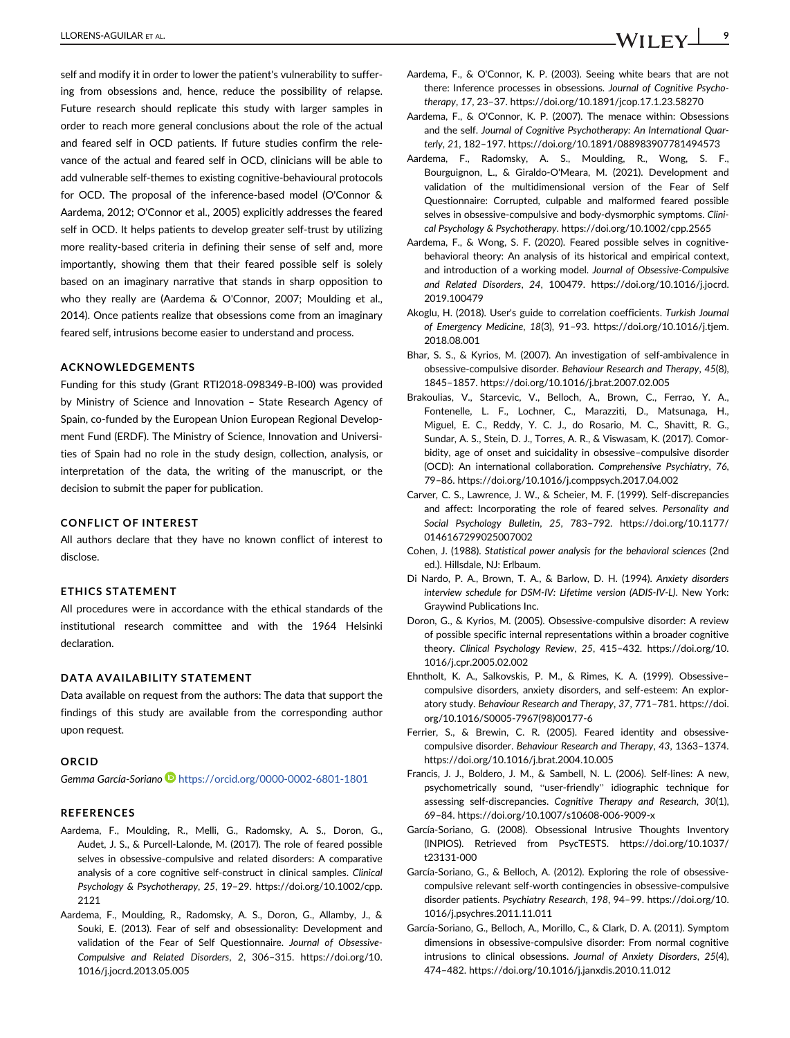self and modify it in order to lower the patient's vulnerability to suffering from obsessions and, hence, reduce the possibility of relapse. Future research should replicate this study with larger samples in order to reach more general conclusions about the role of the actual and feared self in OCD patients. If future studies confirm the relevance of the actual and feared self in OCD, clinicians will be able to add vulnerable self-themes to existing cognitive-behavioural protocols for OCD. The proposal of the inference-based model (O'Connor & Aardema, 2012; O'Connor et al., 2005) explicitly addresses the feared self in OCD. It helps patients to develop greater self-trust by utilizing more reality-based criteria in defining their sense of self and, more importantly, showing them that their feared possible self is solely based on an imaginary narrative that stands in sharp opposition to who they really are (Aardema & O'Connor, 2007; Moulding et al., 2014). Once patients realize that obsessions come from an imaginary feared self, intrusions become easier to understand and process.

#### ACKNOWLEDGEMENTS

Funding for this study (Grant RTI2018-098349-B-I00) was provided by Ministry of Science and Innovation – State Research Agency of Spain, co-funded by the European Union European Regional Development Fund (ERDF). The Ministry of Science, Innovation and Universities of Spain had no role in the study design, collection, analysis, or interpretation of the data, the writing of the manuscript, or the decision to submit the paper for publication.

#### CONFLICT OF INTEREST

All authors declare that they have no known conflict of interest to disclose.

## ETHICS STATEMENT

All procedures were in accordance with the ethical standards of the institutional research committee and with the 1964 Helsinki declaration.

#### DATA AVAILABILITY STATEMENT

Data available on request from the authors: The data that support the findings of this study are available from the corresponding author upon request.

#### **ORCID**

Gemma García-Soriano <https://orcid.org/0000-0002-6801-1801>

#### REFERENCES

- Aardema, F., Moulding, R., Melli, G., Radomsky, A. S., Doron, G., Audet, J. S., & Purcell-Lalonde, M. (2017). The role of feared possible selves in obsessive-compulsive and related disorders: A comparative analysis of a core cognitive self-construct in clinical samples. Clinical Psychology & Psychotherapy, 25, 19–29. [https://doi.org/10.1002/cpp.](https://doi.org/10.1002/cpp.2121) [2121](https://doi.org/10.1002/cpp.2121)
- Aardema, F., Moulding, R., Radomsky, A. S., Doron, G., Allamby, J., & Souki, E. (2013). Fear of self and obsessionality: Development and validation of the Fear of Self Questionnaire. Journal of Obsessive-Compulsive and Related Disorders, 2, 306–315. [https://doi.org/10.](https://doi.org/10.1016/j.jocrd.2013.05.005) [1016/j.jocrd.2013.05.005](https://doi.org/10.1016/j.jocrd.2013.05.005)
- Aardema, F., & O'Connor, K. P. (2003). Seeing white bears that are not there: Inference processes in obsessions. Journal of Cognitive Psychotherapy, 17, 23–37.<https://doi.org/10.1891/jcop.17.1.23.58270>
- Aardema, F., & O'Connor, K. P. (2007). The menace within: Obsessions and the self. Journal of Cognitive Psychotherapy: An International Quarterly, 21, 182–197.<https://doi.org/10.1891/088983907781494573>
- Aardema, F., Radomsky, A. S., Moulding, R., Wong, S. F., Bourguignon, L., & Giraldo-O'Meara, M. (2021). Development and validation of the multidimensional version of the Fear of Self Questionnaire: Corrupted, culpable and malformed feared possible selves in obsessive-compulsive and body-dysmorphic symptoms. Clinical Psychology & Psychotherapy.<https://doi.org/10.1002/cpp.2565>
- Aardema, F., & Wong, S. F. (2020). Feared possible selves in cognitivebehavioral theory: An analysis of its historical and empirical context, and introduction of a working model. Journal of Obsessive-Compulsive and Related Disorders, 24, 100479. [https://doi.org/10.1016/j.jocrd.](https://doi.org/10.1016/j.jocrd.2019.100479) [2019.100479](https://doi.org/10.1016/j.jocrd.2019.100479)
- Akoglu, H. (2018). User's guide to correlation coefficients. Turkish Journal of Emergency Medicine, 18(3), 91–93. [https://doi.org/10.1016/j.tjem.](https://doi.org/10.1016/j.tjem.2018.08.001) [2018.08.001](https://doi.org/10.1016/j.tjem.2018.08.001)
- Bhar, S. S., & Kyrios, M. (2007). An investigation of self-ambivalence in obsessive-compulsive disorder. Behaviour Research and Therapy, 45(8), 1845–1857.<https://doi.org/10.1016/j.brat.2007.02.005>
- Brakoulias, V., Starcevic, V., Belloch, A., Brown, C., Ferrao, Y. A., Fontenelle, L. F., Lochner, C., Marazziti, D., Matsunaga, H., Miguel, E. C., Reddy, Y. C. J., do Rosario, M. C., Shavitt, R. G., Sundar, A. S., Stein, D. J., Torres, A. R., & Viswasam, K. (2017). Comorbidity, age of onset and suicidality in obsessive–compulsive disorder (OCD): An international collaboration. Comprehensive Psychiatry, 76, 79–86.<https://doi.org/10.1016/j.comppsych.2017.04.002>
- Carver, C. S., Lawrence, J. W., & Scheier, M. F. (1999). Self-discrepancies and affect: Incorporating the role of feared selves. Personality and Social Psychology Bulletin, 25, 783–792. [https://doi.org/10.1177/](https://doi.org/10.1177/0146167299025007002) [0146167299025007002](https://doi.org/10.1177/0146167299025007002)
- Cohen, J. (1988). Statistical power analysis for the behavioral sciences (2nd ed.). Hillsdale, NJ: Erlbaum.
- Di Nardo, P. A., Brown, T. A., & Barlow, D. H. (1994). Anxiety disorders interview schedule for DSM-IV: Lifetime version (ADIS-IV-L). New York: Graywind Publications Inc.
- Doron, G., & Kyrios, M. (2005). Obsessive-compulsive disorder: A review of possible specific internal representations within a broader cognitive theory. Clinical Psychology Review, 25, 415–432. [https://doi.org/10.](https://doi.org/10.1016/j.cpr.2005.02.002) [1016/j.cpr.2005.02.002](https://doi.org/10.1016/j.cpr.2005.02.002)
- Ehntholt, K. A., Salkovskis, P. M., & Rimes, K. A. (1999). Obsessive– compulsive disorders, anxiety disorders, and self-esteem: An exploratory study. Behaviour Research and Therapy, 37, 771–781. [https://doi.](https://doi.org/10.1016/S0005-7967(98)00177-6) [org/10.1016/S0005-7967\(98\)00177-6](https://doi.org/10.1016/S0005-7967(98)00177-6)
- Ferrier, S., & Brewin, C. R. (2005). Feared identity and obsessivecompulsive disorder. Behaviour Research and Therapy, 43, 1363–1374. <https://doi.org/10.1016/j.brat.2004.10.005>
- Francis, J. J., Boldero, J. M., & Sambell, N. L. (2006). Self-lines: A new, psychometrically sound, "user-friendly" idiographic technique for assessing self-discrepancies. Cognitive Therapy and Research, 30(1), 69–84.<https://doi.org/10.1007/s10608-006-9009-x>
- García-Soriano, G. (2008). Obsessional Intrusive Thoughts Inventory (INPIOS). Retrieved from PsycTESTS. [https://doi.org/10.1037/](https://doi.org/10.1037/t23131-000) [t23131-000](https://doi.org/10.1037/t23131-000)
- García-Soriano, G., & Belloch, A. (2012). Exploring the role of obsessivecompulsive relevant self-worth contingencies in obsessive-compulsive disorder patients. Psychiatry Research, 198, 94–99. [https://doi.org/10.](https://doi.org/10.1016/j.psychres.2011.11.011) [1016/j.psychres.2011.11.011](https://doi.org/10.1016/j.psychres.2011.11.011)
- García-Soriano, G., Belloch, A., Morillo, C., & Clark, D. A. (2011). Symptom dimensions in obsessive-compulsive disorder: From normal cognitive intrusions to clinical obsessions. Journal of Anxiety Disorders, 25(4), 474–482.<https://doi.org/10.1016/j.janxdis.2010.11.012>